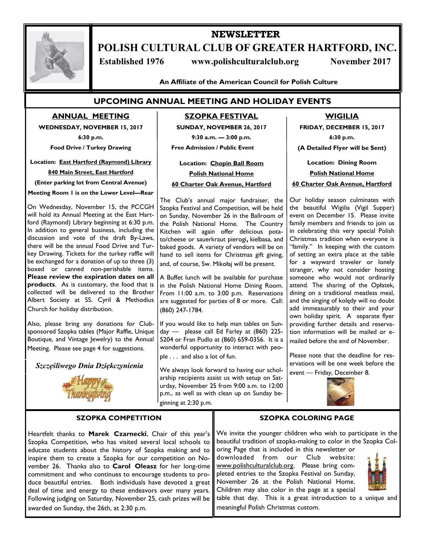

# **NEWSLETTER POLISH CULTURAL CLUB OF GREATER HARTFORD, INC.**

**Established 1976** www.polishculturalclub.org November 2017

**An Affiliate of the American Council for Polish Culture**

## **UPCOMING ANNUAL MEETING AND HOLIDAY EVENTS**

**ANNUAL MEETING**

**WEDNESDAY, NOVEMBER 15, 2017**

**6:30 p.m.** 

**Food Drive / Turkey Drawing**

**Location: East Hartford (Raymond) Library**

#### **840 Main Street, East Hartford**

**(Enter parking lot from Central Avenue)**

**Meeting Room 1 is on the Lower Level—Rear**

 ford (Raymond) Library beginning at 6:30 p.m. On Wednesday, November 15, the PCCGH will hold its Annual Meeting at the East Hart-In addition to general business, including the discussion and vote of the draft By-Laws, there will be the annual Food Drive and Turkey Drawing. Tickets for the turkey raffle will be exchanged for a donation of up to three (3) boxed or canned non-perishable items. **Please review the expiration dates on all products**. As is customary, the food that is collected will be delivered to the Brother Albert Society at SS. Cyril & Methodius Church for holiday distribution.

 Boutique, and Vintage Jewelry) to the Annual Also, please bring any donations for Clubsponsored Szopka tables (Major Raffle, Unique Meeting. Please see page 4 for suggestions.

*Szczęśliwego Dnia Dziękczynienia*



#### **SZOPKA COMPETITION**

Heartfelt thanks to **Marek Czarnecki**, Chair of this year's Szopka Competition, who has visited several local schools to educate students about the history of Szopka making and to inspire them to create a Szopka for our competition on November 26. Thanks also to **Carol Oleasz** for her long-time commitment and who continues to encourage students to produce beautiful entries. Both individuals have devoted a great deal of time and energy to these endeavors over many years. Following judging on Saturday, November 25, cash prizes will be awarded on Sunday, the 26th, at 2:30 p.m.

# **SZOPKA FESTIVAL**

 **SUNDAY, NOVEMBER 26, 2017**

 **9:30 a.m. — 3:00 p.m.**

 **Free Admission / Public Event**

 **Location: Chopin Ball Room Polish National Home 60 Charter Oak Avenue, Hartford**

The Club's annual major fundraiser, the Szopka Festival and Competition, will be held on Sunday, November 26 in the Ballroom of the Polish National Home. The Country Kitchen will again offer delicious potato/cheese or sauerkraut pierogi**,** kielbasa, and baked goods. A variety of vendors will be on hand to sell items for Christmas gift giving, and, of course, Sw. Mikołaj will be present.

A Buffet lunch will be available for purchase in the Polish National Home Dining Room. From 11:00 a.m. to 3:00 p.m. Reservations are suggested for parties of 8 or more. Call: (860) 247-1784.

If you would like to help man tables on Sunday — please call Ed Farley at (860) 225- 5204 or Fran Pudlo at (860) 659-0356. It is a wonderful opportunity to interact with people . . . and also a lot of fun.

We always look forward to having our scholarship recipients assist us with setup on Saturday, November 25 from 9:00 a.m. to 12:00 p.m., as well as with clean up on Sunday beginning at 2:30 p.m.

### **WIGILIA**

**FRIDAY, DECEMBER 15, 2017 6:30 p.m.**

**(A Detailed Flyer will be Sent)**

**Location: Dining Room Polish National Home**

#### **60 Charter Oak Avenue, Hartford**

Our holiday season culminates with the beautiful Wigilia (Vigil Supper) event on December 15. Please invite family members and friends to join us in celebrating this very special Polish Christmas tradition when everyone is "family." In keeping with the custom of setting an extra place at the table for a wayward traveler or lonely stranger, why not consider hosting someone who would not ordinarily attend. The sharing of the Opłatek, dining on a traditional meatless meal, and the singing of kolędy will no doubt add immeasurably to their and your own holiday spirit. A separate flyer providing further details and reservation information will be mailed or emailed before the end of November.

Please note that the deadline for reservations will be one week before the event — Friday, December 8.



#### **SZOPKA COLORING PAGE**

We invite the younger children who wish to participate in the beautiful tradition of szopka-making to color in the Szopka Coloring Page that is included in this newsletter or

downloaded from our Club website: www.polishculturalclub.org. Please bring completed entries to the Szopka Festival on Sunday, November 26 at the Polish National Home. Children may also color in the page at a special



table that day. This is a great introduction to a unique and meaningful Polish Christmas custom.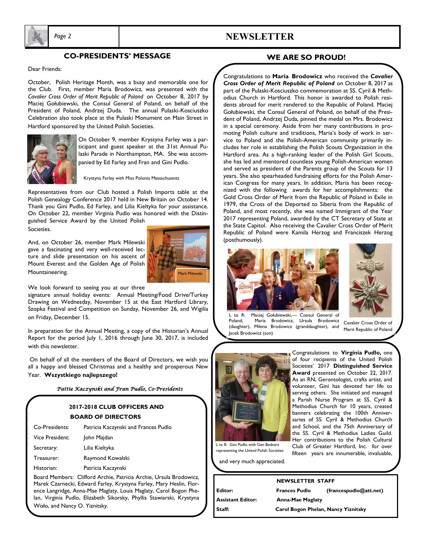

## *Page 2* **NEWSLETTER**

### **CO-PRESIDENTS' MESSAGE**

Dear Friends:

October, Polish Heritage Month, was a busy and memorable one for the Club. First, member Maria Brodowicz, was presented with the *Cavalier Cross Order of Merit Republic of Poland* on October 8, 2017 by Maciej Gołubiewski, the Consul General of Poland, on behalf of the President of Poland, Andrzej Duda. The annual Pulaski-Kosciuszko Celebration also took place at the Pulaski Monument on Main Street in Hartford sponsored by the United Polish Societies.



On October 9, member Krystyna Farley was a participant and guest speaker at the 31st Annual Pulaski Parade in Northampton, MA. She was accompanied by Ed Farley and Fran and Gini Pudlo.

Krystyna Farley with Miss Polonia Massachusetts

Representatives from our Club hosted a Polish Imports table at the Polish Genealogy Conference 2017 held in New Britain on October 14. Thank you Gini Pudlo, Ed Farley, and Lilia Kieltyka for your assistance. On October 22, member Virginia Pudlo was honored with the Distinguished Service Award by the United Polish

Societies.

And, on October 26, member Mark Milewski gave a fascinating and very well-received lecture and slide presentation on his ascent of Mount Everest and the Golden Age of Polish Mountaineering.



We look forward to seeing you at our three

signature annual holiday events: Annual Meeting/Food Drive/Turkey Drawing on Wednesday, November 15 at the East Hartford Library, Szopka Festival and Competition on Sunday, November 26, and Wigilia on Friday, December 15.

In preparation for the Annual Meeting, a copy of the Historian's Annual Report for the period July 1, 2016 through June 30, 2017, is included with this newsletter.

On behalf of all the members of the Board of Directors, we wish you all a happy and blessed Christmas and a healthy and prosperous New Year. **Wszystkiego najlepszego!**

#### *Pattie Kaczynski and Fran Pudlo, Co-Presidents*

### **2017-2018 CLUB OFFICERS AND BOARD OF DIRECTORS**

| Co-Presidents:  | Patricia Kaczynski and Frances Pudlo |  |
|-----------------|--------------------------------------|--|
| Vice President: | John Majdan                          |  |
| Secretary:      | Lilia Kieltyka                       |  |
| Treasurer:      | Raymond Kowalski                     |  |
| Historian:      | Patricia Kaczynski                   |  |
|                 |                                      |  |

Board Members: Clifford Archie, Patricia Archie, Ursula Brodowicz, Marek Czarnecki, Edward Farley, Krystyna Farley, Mary Heslin, Florence Langridge, Anna-Mae Maglaty, Louis Maglaty, Carol Bogon Phelan, Virginia Pudlo, Elizabeth Sikorsky, Phyllis Stawiarski, Krystyna Wisło, and Nancy O. Yiznitsky.

### **WE ARE SO PROUD!**

Congratulations to **Maria Brodowicz** who received the *Cavalier Cross Order of Merit Republic of Poland* on October 8, 2017 as part of the Pulaski-Kosciuszko commemoration at SS. Cyril & Methodius Church in Hartford. This honor is awarded to Polish residents abroad for merit rendered to the Republic of Poland. Maciej Gołubiewski, the Consul General of Poland, on behalf of the President of Poland, Andrzej Duda, pinned the medal on Mrs. Brodowicz in a special ceremony. Aside from her many contributions in promoting Polish culture and traditions, Maria's body of work in service to Poland and the Polish-American community primarily includes her role in establishing the Polish Scouts Organization in the Hartford area. As a high-ranking leader of the Polish Girl Scouts, she has led and mentored countless young Polish-American women and served as president of the Parents group of the Scouts for 13 years. She also spearheaded fundraising efforts for the Polish American Congress for many years. In addition, Maria has been recognized with the following awards for her accomplishments: the Gold Cross Order of Merit from the Republic of Poland in Exile in 1979, the Cross of the Deported to Siberia from the Republic of Poland, and most recently, she was named Immigrant of the Year 2017 representing Poland, awarded by the CT Secretary of State at the State Capitol. Also receiving the Cavalier Cross Order of Merit Republic of Poland were Kamila Herzog and Franciszek Herzog (posthumously).





L to R: Maciej Gołubiewski,— Consul General of Maria Brodowicz, Ursula Brodowicz (daughter), Milena Brodowicz (granddaughter), and Jacek Brodowicz (son)

Cavalier Cross Order of Merit Republic of Poland



**Congratulations to Virginia Pudlo**, one of four recipients of the United Polish Societies' 2017 **Distinguished Service Award** presented on October 22, 2017. As an RN, Gerontologist, crafts artist, and volunteer, Gini has devoted her life to serving others. She initiated and managed a Parish Nurse Program at SS. Cyril & Methodius Church for 10 years, created banners celebrating the 100th Anniversaries of SS. Cyril & Methodius Church and School, and the 75th Anniversary of the SS. Cyril & Methodius Ladies Guild. Her contributions to the Polish Cultural Club of Greater Hartford, Inc. for over fifteen years are innumerable, invaluable,

representing the United Polish Societies

and very much appreciated.

| Editor:                  |  |
|--------------------------|--|
| <b>Assistant Editor:</b> |  |
| Staff:                   |  |

**NEWSLETTER STAFF Frances Pudlo** (francespudlo@att.net) **Anna-Mae Maglaty Staff: Carol Bogon Phelan, Nancy Yiznitsky**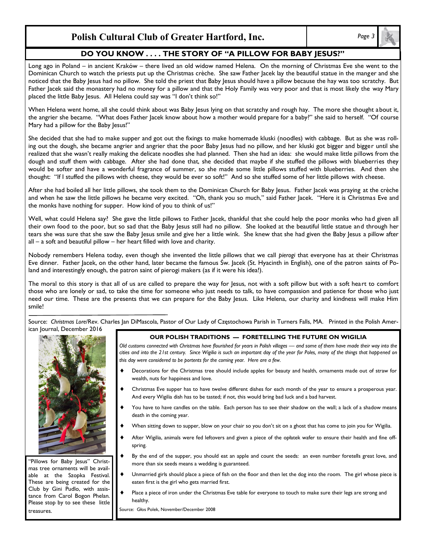## **Polish Cultural Club of Greater Hartford, Inc.** *Page 3*

## **DO YOU KNOW . . . . THE STORY OF "A PILLOW FOR BABY JESUS?"**

Long ago in Poland – in ancient Kraków – there lived an old widow named Helena. On the morning of Christmas Eve she went to the Dominican Church to watch the priests put up the Christmas crèche. She saw Father Jacek lay the beautiful statue in the manger and she noticed that the Baby Jesus had no pillow. She told the priest that Baby Jesus should have a pillow because the hay was too scratchy. But Father Jacek said the monastery had no money for a pillow and that the Holy Family was very poor and that is most likely the way Mary placed the little Baby Jesus. All Helena could say was "I don't think so!"

When Helena went home, all she could think about was Baby Jesus lying on that scratchy and rough hay. The more she thought about it, the angrier she became. "What does Father Jacek know about how a mother would prepare for a baby?" she said to herself. "Of course Mary had a pillow for the Baby Jesus!"

She decided that she had to make supper and got out the fixings to make homemade kluski (noodles) with cabbage. But as she was rolling out the dough, she became angrier and angrier that the poor Baby Jesus had no pillow, and her kluski got bigger and bigger until she realized that she wasn't really making the delicate noodles she had planned. Then she had an idea: she would make little pillows from the dough and stuff them with cabbage. After she had done that, she decided that maybe if she stuffed the pillows with blueberries they would be softer and have a wonderful fragrance of summer, so she made some little pillows stuffed with blueberries. And then she thought: "If I stuffed the pillows with cheese, they would be ever so soft!" And so she stuffed some of her little pillows with cheese.

After she had boiled all her little pillows, she took them to the Dominican Church for Baby Jesus. Father Jacek was praying at the crèche and when he saw the little pillows he became very excited. "Oh, thank you so much," said Father Jacek. "Here it is Christmas Eve and the monks have nothing for supper. How kind of you to think of us!"

Well, what could Helena say? She gave the little pillows to Father Jacek, thankful that she could help the poor monks who had given all their own food to the poor, but so sad that the Baby Jesus still had no pillow. She looked at the beautiful little statue and through her tears she was sure that she saw the Baby Jesus smile and give her a little wink. She knew that she had given the Baby Jesus a pillow after all – a soft and beautiful pillow – her heart filled with love and charity.

Nobody remembers Helena today, even though she invented the little pillows that we call *pierogi* that everyone has at their Christmas Eve dinner. Father Jacek, on the other hand, later became the famous Św. Jacek (St. Hyacinth in English), one of the patron saints of Poland and interestingly enough, the patron saint of pierogi makers (as if it were his idea!).

The moral to this story is that all of us are called to prepare the way for Jesus, not with a soft pillow but with a soft heart to comfort those who are lonely or sad, to take the time for someone who just needs to talk, to have compassion and patience for those who just need our time. These are the presents that we can prepare for the Baby Jesus. Like Helena, our charity and kindness will make Him smile!

Source: *Christmas Lore*/Rev. Charles Jan DiMascola, Pastor of Our Lady of Częstochowa Parish in Turners Falls, MA. Printed in the Polish American Journal, December 2016



"Pillows for Baby Jesus" Christmas tree ornaments will be available at the Szopka Festival. These are being created for the Club by Gini Pudlo, with assistance from Carol Bogon Phelan. Please stop by to see these little treasures.

#### **OUR POLISH TRADITIONS — FORETELLING THE FUTURE ON WIGILIA**

*Old customs connected with Christmas have flourished for years in Polish villages — and some of them have made their way into the cities and into the 21st century. Since Wigilia is such an important day of the year for Poles, many of the things that happened on this day were considered to be portents for the coming year. Here are a few.*

- Decorations for the Christmas tree should include apples for beauty and health, ornaments made out of straw for wealth, nuts for happiness and love.
- Christmas Eve supper has to have twelve different dishes for each month of the year to ensure a prosperous year. And every Wigilia dish has to be tasted; if not, this would bring bad luck and a bad harvest.
- You have to have candles on the table. Each person has to see their shadow on the wall; a lack of a shadow means death in the coming year.
- When sitting down to supper, blow on your chair so you don't sit on a ghost that has come to join you for Wigilia.
- After Wigilia, animals were fed leftovers and given a piece of the opłatek wafer to ensure their health and fine offspring.
- By the end of the supper, you should eat an apple and count the seeds: an even number foretells great love, and more than six seeds means a wedding is guaranteed.
- Unmarried girls should place a piece of fish on the floor and then let the dog into the room. The girl whose piece is eaten first is the girl who gets married first.
- Place a piece of iron under the Christmas Eve table for everyone to touch to make sure their legs are strong and healthy.

Source: Głos Polek, November/December 2008